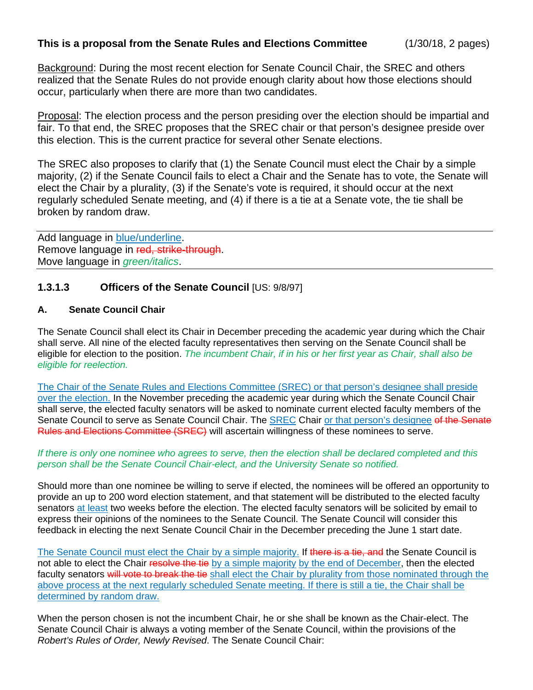Background: During the most recent election for Senate Council Chair, the SREC and others realized that the Senate Rules do not provide enough clarity about how those elections should occur, particularly when there are more than two candidates.

Proposal: The election process and the person presiding over the election should be impartial and fair. To that end, the SREC proposes that the SREC chair or that person's designee preside over this election. This is the current practice for several other Senate elections.

The SREC also proposes to clarify that (1) the Senate Council must elect the Chair by a simple majority, (2) if the Senate Council fails to elect a Chair and the Senate has to vote, the Senate will elect the Chair by a plurality, (3) if the Senate's vote is required, it should occur at the next regularly scheduled Senate meeting, and (4) if there is a tie at a Senate vote, the tie shall be broken by random draw.

Add language in **blue/underline**. Remove language in red, strike-through. Move language in *green/italics*.

## **1.3.1.3 Officers of the Senate Council** [US: 9/8/97]

## **A. Senate Council Chair**

The Senate Council shall elect its Chair in December preceding the academic year during which the Chair shall serve. All nine of the elected faculty representatives then serving on the Senate Council shall be eligible for election to the position. *The incumbent Chair, if in his or her first year as Chair, shall also be eligible for reelection.*

The Chair of the Senate Rules and Elections Committee (SREC) or that person's designee shall preside over the election. In the November preceding the academic year during which the Senate Council Chair shall serve, the elected faculty senators will be asked to nominate current elected faculty members of the Senate Council to serve as Senate Council Chair. The SREC Chair or that person's designee of the Senate Rules and Elections Committee (SREC) will ascertain willingness of these nominees to serve.

## *If there is only one nominee who agrees to serve, then the election shall be declared completed and this person shall be the Senate Council Chair-elect, and the University Senate so notified.*

Should more than one nominee be willing to serve if elected, the nominees will be offered an opportunity to provide an up to 200 word election statement, and that statement will be distributed to the elected faculty senators at least two weeks before the election. The elected faculty senators will be solicited by email to express their opinions of the nominees to the Senate Council. The Senate Council will consider this feedback in electing the next Senate Council Chair in the December preceding the June 1 start date.

The Senate Council must elect the Chair by a simple majority. If there is a tie, and the Senate Council is not able to elect the Chair resolve the tie by a simple majority by the end of December, then the elected faculty senators will vote to break the tie shall elect the Chair by plurality from those nominated through the above process at the next regularly scheduled Senate meeting. If there is still a tie, the Chair shall be determined by random draw.

When the person chosen is not the incumbent Chair, he or she shall be known as the Chair-elect. The Senate Council Chair is always a voting member of the Senate Council, within the provisions of the *Robert's Rules of Order, Newly Revised*. The Senate Council Chair: